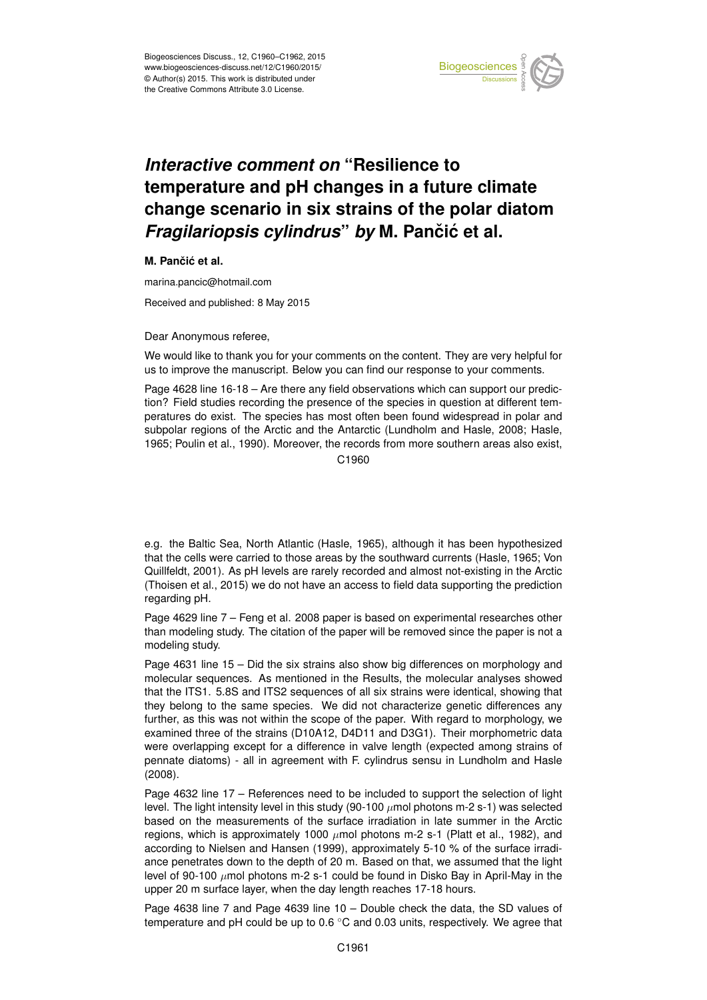

## *Interactive comment on* **"Resilience to temperature and pH changes in a future climate change scenario in six strains of the polar diatom** *Fragilariopsis cylindrus by* M. Pančić et al.

**M.** Pančić et al.

marina.pancic@hotmail.com

Received and published: 8 May 2015

Dear Anonymous referee,

We would like to thank you for your comments on the content. They are very helpful for us to improve the manuscript. Below you can find our response to your comments.

Page 4628 line 16-18 – Are there any field observations which can support our prediction? Field studies recording the presence of the species in question at different temperatures do exist. The species has most often been found widespread in polar and subpolar regions of the Arctic and the Antarctic (Lundholm and Hasle, 2008; Hasle, 1965; Poulin et al., 1990). Moreover, the records from more southern areas also exist,

C<sub>1960</sub>

e.g. the Baltic Sea, North Atlantic (Hasle, 1965), although it has been hypothesized that the cells were carried to those areas by the southward currents (Hasle, 1965; Von Quillfeldt, 2001). As pH levels are rarely recorded and almost not-existing in the Arctic (Thoisen et al., 2015) we do not have an access to field data supporting the prediction regarding pH.

Page 4629 line 7 – Feng et al. 2008 paper is based on experimental researches other than modeling study. The citation of the paper will be removed since the paper is not a modeling study.

Page 4631 line 15 – Did the six strains also show big differences on morphology and molecular sequences. As mentioned in the Results, the molecular analyses showed that the ITS1. 5.8S and ITS2 sequences of all six strains were identical, showing that they belong to the same species. We did not characterize genetic differences any further, as this was not within the scope of the paper. With regard to morphology, we examined three of the strains (D10A12, D4D11 and D3G1). Their morphometric data were overlapping except for a difference in valve length (expected among strains of pennate diatoms) - all in agreement with F. cylindrus sensu in Lundholm and Hasle (2008).

Page 4632 line 17 – References need to be included to support the selection of light level. The light intensity level in this study (90-100  $\mu$ mol photons m-2 s-1) was selected based on the measurements of the surface irradiation in late summer in the Arctic regions, which is approximately 1000  $\mu$ mol photons m-2 s-1 (Platt et al., 1982), and according to Nielsen and Hansen (1999), approximately 5-10 % of the surface irradiance penetrates down to the depth of 20 m. Based on that, we assumed that the light level of 90-100  $\mu$ mol photons m-2 s-1 could be found in Disko Bay in April-May in the upper 20 m surface layer, when the day length reaches 17-18 hours.

Page 4638 line 7 and Page 4639 line 10 – Double check the data, the SD values of temperature and pH could be up to 0.6 ◦C and 0.03 units, respectively. We agree that